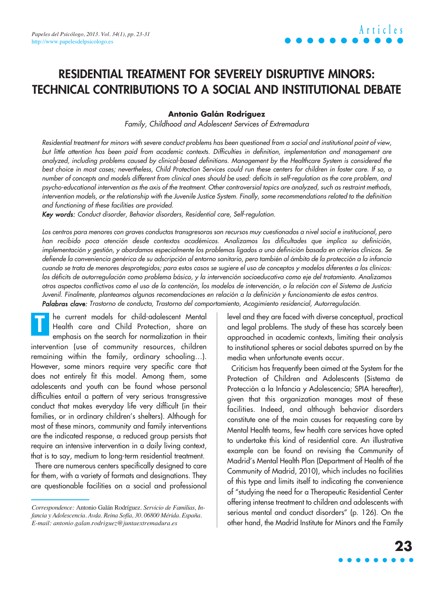### **RESIDENTIAL TREATMENT FOR SEVERELY DISRUPTIVE MINORS: TECHNICAL CONTRIBUTIONS TO A SOCIAL AND INSTITUTIONAL DEBATE**

#### **Antonio Galán Rodríguez**

Family, Childhood and Adolescent Services of Extremadura

Residential treatment for minors with severe conduct problems has been questioned from a social and institutional point of view, but little attention has been paid from academic contexts. Difficulties in definition, implementation and management are analyzed, including problems caused by clinical-based definitions. Management by the Healthcare System is considered the best choice in most cases; nevertheless, Child Protection Services could run these centers for children in foster care. If so, a number of concepts and models different from clinical ones should be used: deficits in self-regulation as the core problem, and psycho-educational intervention as the axis of the treatment. Other controversial topics are analyzed, such as restraint methods, intervention models, or the relationship with the Juvenile Justice System. Finally, some recommendations related to the definition and functioning of these facilities are provided.

Key words: Conduct disorder, Behavior disorders, Residential care, Self-regulation.

Los centros para menores con graves conductas transgresoras son recursos muy cuestionados a nivel social e institucional, pero han recibido poca atención desde contextos académicos. Analizamos las dificultades que implica su definición, implementación y gestión, y abordamos especialmente los problemas ligados a una definición basada en criterios clínicos. Se defiende la conveniencia genérica de su adscripción al entorno sanitario, pero también al ámbito de la protección a la infancia cuando se trata de menores desprotegidos; para estos casos se sugiere el uso de conceptos y modelos diferentes a los clínicos: los déficits de autorregulación como problema básico, y la intervención socioeducativa como eje del tratamiento. Analizamos otros aspectos conflictivos como el uso de la contención, los modelos de intervención, o la relación con el Sistema de Justicia Juvenil. Finalmente, planteamos algunas recomendaciones en relación a la definición y funcionamiento de estos centros. Palabras clave: Trastorno de conducta, Trastorno del comportamiento, Acogimiento residencial, Autorregulación.

he current models for child-adolescent Mental Health care and Child Protection, share an emphasis on the search for normalization in their intervention (use of community resources, children remaining within the family, ordinary schooling…). However, some minors require very specific care that does not entirely fit this model. Among them, some adolescents and youth can be found whose personal difficulties entail a pattern of very serious transgressive conduct that makes everyday life very difficult (in their families, or in ordinary children's shelters). Although for most of these minors, community and family interventions are the indicated response, a reduced group persists that require an intensive intervention in a daily living context, that is to say, medium to long-term residential treatment. **T**

There are numerous centers specifically designed to care for them, with a variety of formats and designations. They are questionable facilities on a social and professional level and they are faced with diverse conceptual, practical and legal problems. The study of these has scarcely been approached in academic contexts, limiting their analysis to institutional spheres or social debates spurred on by the media when unfortunate events occur.

Criticism has frequently been aimed at the System for the Protection of Children and Adolescents (Sistema de Protección a la Infancia y Adolescencia; SPIA hereafter), given that this organization manages most of these facilities. Indeed, and although behavior disorders constitute one of the main causes for requesting care by Mental Health teams, few health care services have opted to undertake this kind of residential care. An illustrative example can be found on revising the Community of Madrid's Mental Health Plan (Department of Health of the Community of Madrid, 2010), which includes no facilities of this type and limits itself to indicating the convenience of "studying the need for a Therapeutic Residential Center offering intense treatment to children and adolescents with serious mental and conduct disorders" (p. 126). On the other hand, the Madrid Institute for Minors and the Family

# **23**

*Correspondence:* Antonio Galán Rodríguez. *Servicio de Familias, Infancia y Adolescencia. Avda. Reina Sofía, 30. 06800 Mérida. España. E-mail: antonio.galan.rodriguez@juntaextremadura.es*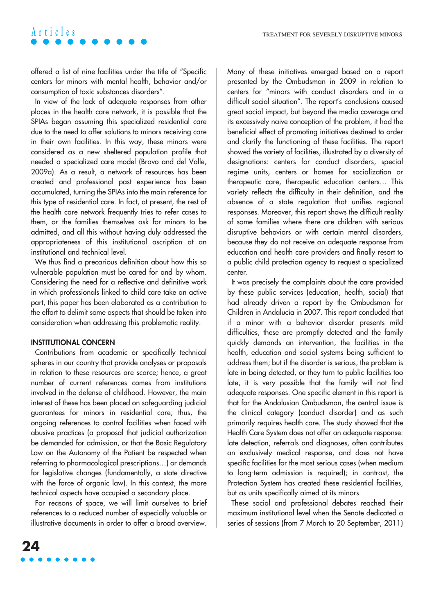offered a list of nine facilities under the title of "Specific centers for minors with mental health, behavior and/or consumption of toxic substances disorders".

In view of the lack of adequate responses from other places in the health care network, it is possible that the SPIAs began assuming this specialized residential care due to the need to offer solutions to minors receiving care in their own facilities. In this way, these minors were considered as a new sheltered population profile that needed a specialized care model (Bravo and del Valle, 2009a). As a result, a network of resources has been created and professional past experience has been accumulated, turning the SPIAs into the main reference for this type of residential care. In fact, at present, the rest of the health care network frequently tries to refer cases to them, or the families themselves ask for minors to be admitted, and all this without having duly addressed the appropriateness of this institutional ascription at an institutional and technical level.

We thus find a precarious definition about how this so vulnerable population must be cared for and by whom. Considering the need for a reflective and definitive work in which professionals linked to child care take an active part, this paper has been elaborated as a contribution to the effort to delimit some aspects that should be taken into consideration when addressing this problematic reality.

#### **INSTITUTIONAL CONCERN**

Contributions from academic or specifically technical spheres in our country that provide analyses or proposals in relation to these resources are scarce; hence, a great number of current references comes from institutions involved in the defense of childhood. However, the main interest of these has been placed on safeguarding judicial guarantees for minors in residential care; thus, the ongoing references to control facilities when faced with abusive practices (a proposal that judicial authorization be demanded for admission, or that the Basic Regulatory Law on the Autonomy of the Patient be respected when referring to pharmacological prescriptions…) or demands for legislative changes (fundamentally, a state directive with the force of organic law). In this context, the more technical aspects have occupied a secondary place.

For reasons of space, we will limit ourselves to brief references to a reduced number of especially valuable or illustrative documents in order to offer a broad overview.



It was precisely the complaints about the care provided by these public services (education, health, social) that had already driven a report by the Ombudsman for Children in Andalucía in 2007. This report concluded that if a minor with a behavior disorder presents mild difficulties, these are promptly detected and the family quickly demands an intervention, the facilities in the health, education and social systems being sufficient to address them; but if the disorder is serious, the problem is late in being detected, or they turn to public facilities too late, it is very possible that the family will not find adequate responses. One specific element in this report is that for the Andalusian Ombudsman, the central issue is the clinical category (conduct disorder) and as such primarily requires health care. The study showed that the Health Care System does not offer an adequate response: late detection, referrals and diagnoses, often contributes an exclusively medical response, and does not have specific facilities for the most serious cases (when medium to long-term admission is required); in contrast, the Protection System has created these residential facilities, but as units specifically aimed at its minors.

These social and professional debates reached their maximum institutional level when the Senate dedicated a series of sessions (from 7 March to 20 September, 2011)

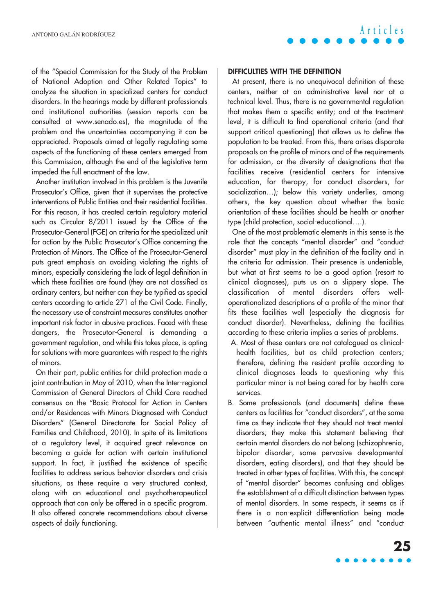of the "Special Commission for the Study of the Problem of National Adoption and Other Related Topics" to analyze the situation in specialized centers for conduct disorders. In the hearings made by different professionals and institutional authorities (session reports can be consulted at www.senado.es), the magnitude of the problem and the uncertainties accompanying it can be appreciated. Proposals aimed at legally regulating some aspects of the functioning of these centers emerged from this Commission, although the end of the legislative term impeded the full enactment of the law.

Another institution involved in this problem is the Juvenile Prosecutor's Office, given that it supervises the protective interventions of Public Entities and their residential facilities. For this reason, it has created certain regulatory material such as Circular 8/2011 issued by the Office of the Prosecutor-General (FGE) on criteria for the specialized unit for action by the Public Prosecutor's Office concerning the Protection of Minors. The Office of the Prosecutor-General puts great emphasis on avoiding violating the rights of minors, especially considering the lack of legal definition in which these facilities are found (they are not classified as ordinary centers, but neither can they be typified as special centers according to article 271 of the Civil Code. Finally, the necessary use of constraint measures constitutes another important risk factor in abusive practices. Faced with these dangers, the Prosecutor-General is demanding a government regulation, and while this takes place, is opting for solutions with more guarantees with respect to the rights of minors.

On their part, public entities for child protection made a joint contribution in May of 2010, when the Inter-regional Commission of General Directors of Child Care reached consensus on the "Basic Protocol for Action in Centers and/or Residences with Minors Diagnosed with Conduct Disorders" (General Directorate for Social Policy of Families and Childhood, 2010). In spite of its limitations at a regulatory level, it acquired great relevance on becoming a guide for action with certain institutional support. In fact, it justified the existence of specific facilities to address serious behavior disorders and crisis situations, as these require a very structured context, along with an educational and psychotherapeutical approach that can only be offered in a specific program. It also offered concrete recommendations about diverse aspects of daily functioning.

**DIFFICULTIES WITH THE DEFINITION**

At present, there is no unequivocal definition of these centers, neither at an administrative level nor at a technical level. Thus, there is no governmental regulation that makes them a specific entity; and at the treatment level, it is difficult to find operational criteria (and that support critical questioning) that allows us to define the population to be treated. From this, there arises disparate proposals on the profile of minors and of the requirements for admission, or the diversity of designations that the facilities receive (residential centers for intensive education, for therapy, for conduct disorders, for socialization…); below this variety underlies, among others, the key question about whether the basic orientation of these facilities should be health or another type (child protection, social-educational….).

**Articles**

One of the most problematic elements in this sense is the role that the concepts "mental disorder" and "conduct disorder" must play in the definition of the facility and in the criteria for admission. Their presence is undeniable, but what at first seems to be a good option (resort to clinical diagnoses), puts us on a slippery slope. The classification of mental disorders offers welloperationalized descriptions of a profile of the minor that fits these facilities well (especially the diagnosis for conduct disorder). Nevertheless, defining the facilities according to these criteria implies a series of problems.

- A. Most of these centers are not catalogued as clinicalhealth facilities, but as child protection centers; therefore, defining the resident profile according to clinical diagnoses leads to questioning why this particular minor is not being cared for by health care services.
- B. Some professionals (and documents) define these centers as facilities for "conduct disorders", at the same time as they indicate that they should not treat mental disorders; they make this statement believing that certain mental disorders do not belong (schizophrenia, bipolar disorder, some pervasive developmental disorders, eating disorders), and that they should be treated in other types of facilities. With this, the concept of "mental disorder" becomes confusing and obliges the establishment of a difficult distinction between types of mental disorders. In some respects, it seems as if there is a non-explicit differentiation being made between "authentic mental illness" and "conduct

 $\bullet\bullet\bullet\bullet\bullet$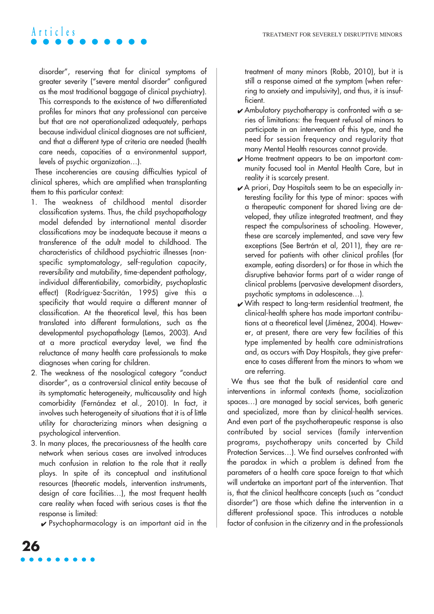disorder", reserving that for clinical symptoms of greater severity ("severe mental disorder" configured as the most traditional baggage of clinical psychiatry). This corresponds to the existence of two differentiated profiles for minors that any professional can perceive but that are not operationalized adequately, perhaps because individual clinical diagnoses are not sufficient, and that a different type of criteria are needed (health care needs, capacities of a environmental support, levels of psychic organization…).

These incoherencies are causing difficulties typical of clinical spheres, which are amplified when transplanting them to this particular context:

- 1. The weakness of childhood mental disorder classification systems. Thus, the child psychopathology model defended by international mental disorder classifications may be inadequate because it means a transference of the adult model to childhood. The characteristics of childhood psychiatric illnesses (nonspecific symptomatology, self-regulation capacity, reversibility and mutability, time-dependent pathology, individual differentiability, comorbidity, psychoplastic effect) (Rodríguez-Sacritán, 1995) give this a specificity that would require a different manner of classification. At the theoretical level, this has been translated into different formulations, such as the developmental psychopathology (Lemos, 2003). And at a more practical everyday level, we find the reluctance of many health care professionals to make diagnoses when caring for children.
- 2. The weakness of the nosological category "conduct disorder", as a controversial clinical entity because of its symptomatic heterogeneity, multicausality and high comorbidity (Fernández et al., 2010). In fact, it involves such heterogeneity of situations that it is of little utility for characterizing minors when designing a psychological intervention.
- 3. In many places, the precariousness of the health care network when serious cases are involved introduces much confusion in relation to the role that it really plays. In spite of its conceptual and institutional resources (theoretic models, intervention instruments, design of care facilities…), the most frequent health care reality when faced with serious cases is that the response is limited:

 $\sqrt{\frac{P}{P}}$  Psychopharmacology is an important aid in the

treatment of many minors (Robb, 2010), but it is still a response aimed at the symptom (when referring to anxiety and impulsivity), and thus, it is insufficient.

- $\blacktriangleright$  Ambulatory psychotherapy is confronted with a series of limitations: the frequent refusal of minors to participate in an intervention of this type, and the need for session frequency and regularity that many Mental Health resources cannot provide.
- $\mathcal V$  Home treatment appears to be an important community focused tool in Mental Health Care, but in reality it is scarcely present.
- ✔ A priori, Day Hospitals seem to be an especially interesting facility for this type of minor: spaces with a therapeutic component for shared living are developed, they utilize integrated treatment, and they respect the compulsoriness of schooling. However, these are scarcely implemented, and save very few exceptions (See Bertrán et al, 2011), they are reserved for patients with other clinical profiles (for example, eating disorders) or for those in which the disruptive behavior forms part of a wider range of clinical problems (pervasive development disorders, psychotic symptoms in adolescence…).
- $\boldsymbol{\nu}$  With respect to long-term residential treatment, the clinical-health sphere has made important contributions at a theoretical level (Jiménez, 2004). However, at present, there are very few facilities of this type implemented by health care administrations and, as occurs with Day Hospitals, they give preference to cases different from the minors to whom we are referring.

We thus see that the bulk of residential care and interventions in informal contexts (home, socialization spaces…) are managed by social services, both generic and specialized, more than by clinical-health services. And even part of the psychotherapeutic response is also contributed by social services (family intervention programs, psychotherapy units concerted by Child Protection Services…). We find ourselves confronted with the paradox in which a problem is defined from the parameters of a health care space foreign to that which will undertake an important part of the intervention. That is, that the clinical healthcare concepts (such as "conduct disorder") are those which define the intervention in a different professional space. This introduces a notable factor of confusion in the citizenry and in the professionals

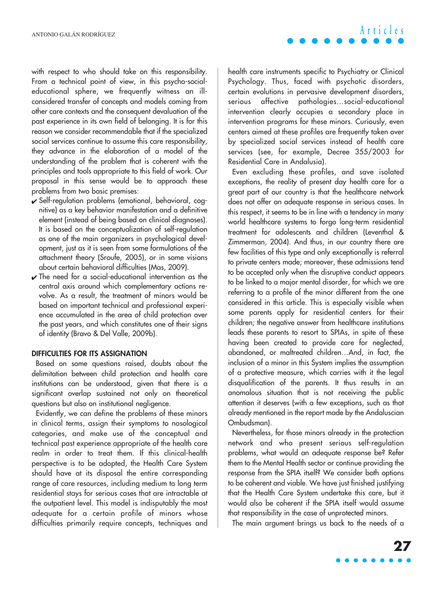with respect to who should take on this responsibility. From a technical point of view, in this psycho-socialeducational sphere, we frequently witness an illconsidered transfer of concepts and models coming from other care contexts and the consequent devaluation of the past experience in its own field of belonging. It is for this reason we consider recommendable that if the specialized social services continue to assume this care responsibility, they advance in the elaboration of a model of the understanding of the problem that is coherent with the principles and tools appropriate to this field of work. Our proposal in this sense would be to approach these problems from two basic premises:

- ✔ Self-regulation problems (emotional, behavioral, cognitive) as a key behavior manifestation and a definitive element (instead of being based on clinical diagnoses). It is based on the conceptualization of self-regulation as one of the main organizers in psychological development, just as it is seen from some formulations of the attachment theory (Sroufe, 2005), or in some visions about certain behavioral difficulties (Mas, 2009).
- $\sqrt{}$  The need for a social-educational intervention as the central axis around which complementary actions revolve. As a result, the treatment of minors would be based on important technical and professional experience accumulated in the area of child protection over the past years, and which constitutes one of their signs of identity (Bravo & Del Valle, 2009b).

#### **DIFFICULTIES FOR ITS ASSIGNATION**

Based on some questions raised, doubts about the delimitation between child protection and health care institutions can be understood, given that there is a significant overlap sustained not only on theoretical questions but also on institutional negligence.

Evidently, we can define the problems of these minors in clinical terms, assign their symptoms to nosological categories, and make use of the conceptual and technical past experience appropriate of the health care realm in order to treat them. If this clinical-health perspective is to be adopted, the Health Care System should have at its disposal the entire corresponding range of care resources, including medium to long term residential stays for serious cases that are intractable at the outpatient level. This model is indisputably the most adequate for a certain profile of minors whose difficulties primarily require concepts, techniques and health care instruments specific to Psychiatry or Clinical Psychology. Thus, faced with psychotic disorders, certain evolutions in pervasive development disorders, serious affective pathologies…social-educational intervention clearly occupies a secondary place in intervention programs for these minors. Curiously, even centers aimed at these profiles are frequently taken over by specialized social services instead of health care services (see, for example, Decree 355/2003 for Residential Care in Andalusia).

**Articles**

Even excluding these profiles, and save isolated exceptions, the reality of present day health care for a great part of our country is that the healthcare network does not offer an adequate response in serious cases. In this respect, it seems to be in line with a tendency in many world healthcare systems to forgo long-term residential treatment for adolescents and children (Leventhal & Zimmerman, 2004). And thus, in our country there are few facilities of this type and only exceptionally is referral to private centers made; moreover, these admissions tend to be accepted only when the disruptive conduct appears to be linked to a major mental disorder, for which we are referring to a profile of the minor different from the one considered in this article. This is especially visible when some parents apply for residential centers for their children; the negative answer from healthcare institutions leads these parents to resort to SPIAs, in spite of these having been created to provide care for neglected, abandoned, or maltreated children…And, in fact, the inclusion of a minor in this System implies the assumption of a protective measure, which carries with it the legal disqualification of the parents. It thus results in an anomalous situation that is not receiving the public attention it deserves (with a few exceptions, such as that already mentioned in the report made by the Andaluscian Ombudsman).

Nevertheless, for those minors already in the protection network and who present serious self-regulation problems, what would an adequate response be? Refer them to the Mental Health sector or continue providing the response from the SPIA itself? We consider both options to be coherent and viable. We have just finished justifying that the Health Care System undertake this care, but it would also be coherent if the SPIA itself would assume that responsibility in the case of unprotected minors.

The main argument brings us back to the needs of a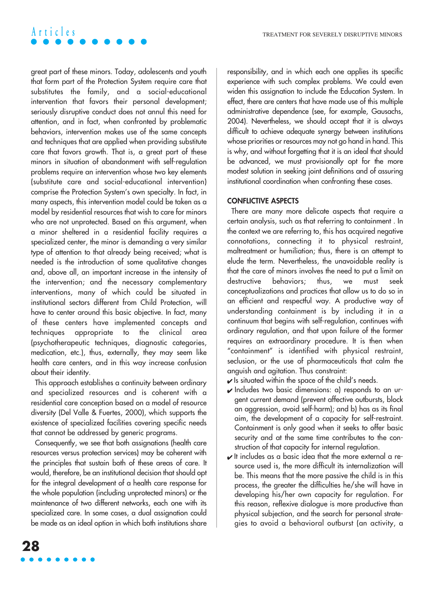great part of these minors. Today, adolescents and youth that form part of the Protection System require care that substitutes the family, and a social-educational intervention that favors their personal development; seriously disruptive conduct does not annul this need for attention, and in fact, when confronted by problematic behaviors, intervention makes use of the same concepts and techniques that are applied when providing substitute care that favors growth. That is, a great part of these minors in situation of abandonment with self-regulation problems require an intervention whose two key elements (substitute care and social-educational intervention) comprise the Protection System's own specialty. In fact, in many aspects, this intervention model could be taken as a model by residential resources that wish to care for minors who are not unprotected. Based on this argument, when a minor sheltered in a residential facility requires a specialized center, the minor is demanding a very similar type of attention to that already being received; what is needed is the introduction of some qualitative changes and, above all, an important increase in the intensity of the intervention; and the necessary complementary interventions, many of which could be situated in institutional sectors different from Child Protection, will have to center around this basic objective. In fact, many of these centers have implemented concepts and techniques appropriate to the clinical area (psychotherapeutic techniques, diagnostic categories, medication, etc.), thus, externally, they may seem like health care centers, and in this way increase confusion about their identity.

This approach establishes a continuity between ordinary and specialized resources and is coherent with a residential care conception based on a model of resource diversity (Del Valle & Fuertes, 2000), which supports the existence of specialized facilities covering specific needs that cannot be addressed by generic programs.

Consequently, we see that both assignations (health care resources versus protection services) may be coherent with the principles that sustain both of these areas of care. It would, therefore, be an institutional decision that should opt for the integral development of a health care response for the whole population (including unprotected minors) or the maintenance of two different networks, each one with its specialized care. In some cases, a dual assignation could be made as an ideal option in which both institutions share responsibility, and in which each one applies its specific experience with such complex problems. We could even widen this assignation to include the Education System. In effect, there are centers that have made use of this multiple administrative dependence (see, for example, Gausachs, 2004). Nevertheless, we should accept that it is always difficult to achieve adequate synergy between institutions whose priorities or resources may not go hand in hand. This is why, and without forgetting that it is an ideal that should be advanced, we must provisionally opt for the more modest solution in seeking joint definitions and of assuring institutional coordination when confronting these cases.

#### **CONFLICTIVE ASPECTS**

There are many more delicate aspects that require a certain analysis, such as that referring to containment . In the context we are referring to, this has acquired negative connotations, connecting it to physical restraint, maltreatment or humiliation; thus, there is an attempt to elude the term. Nevertheless, the unavoidable reality is that the care of minors involves the need to put a limit on destructive behaviors; thus, we must seek conceptualizations and practices that allow us to do so in an efficient and respectful way. A productive way of understanding containment is by including it in a continuum that begins with self-regulation, continues with ordinary regulation, and that upon failure of the former requires an extraordinary procedure. It is then when "containment" is identified with physical restraint, seclusion, or the use of pharmaceuticals that calm the anguish and agitation. Thus constraint:

- $\blacktriangleright$  Is situated within the space of the child's needs.
- $\vee$  Includes two basic dimensions: a) responds to an urgent current demand (prevent affective outbursts, block an aggression, avoid self-harm); and b) has as its final aim, the development of a capacity for self-restraint. Containment is only good when it seeks to offer basic security and at the same time contributes to the construction of that capacity for internal regulation.
- $\vee$  It includes as a basic idea that the more external a resource used is, the more difficult its internalization will be. This means that the more passive the child is in this process, the greater the difficulties he/she will have in developing his/her own capacity for regulation. For this reason, reflexive dialogue is more productive than physical subjection, and the search for personal strategies to avoid a behavioral outburst (an activity, a

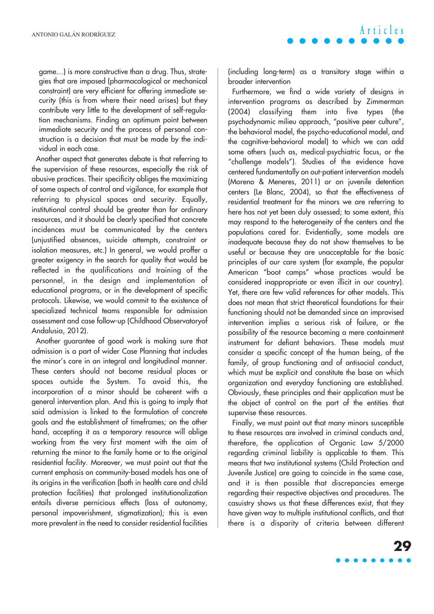game…) is more constructive than a drug. Thus, strategies that are imposed (pharmacological or mechanical constraint) are very efficient for offering immediate security (this is from where their need arises) but they contribute very little to the development of self-regulation mechanisms. Finding an optimum point between immediate security and the process of personal construction is a decision that must be made by the individual in each case.

Another aspect that generates debate is that referring to the supervision of these resources, especially the risk of abusive practices. Their specificity obliges the maximizing of some aspects of control and vigilance, for example that referring to physical spaces and security. Equally, institutional control should be greater than for ordinary resources, and it should be clearly specified that concrete incidences must be communicated by the centers (unjustified absences, suicide attempts, constraint or isolation measures, etc.) In general, we would proffer a greater exigency in the search for quality that would be reflected in the qualifications and training of the personnel, in the design and implementation of educational programs, or in the development of specific protocols. Likewise, we would commit to the existence of specialized technical teams responsible for admission assessment and case follow-up (Childhood Observatoryof Andalusia, 2012).

Another guarantee of good work is making sure that admission is a part of wider Case Planning that includes the minor's care in an integral and longitudinal manner. These centers should not become residual places or spaces outside the System. To avoid this, the incorporation of a minor should be coherent with a general intervention plan. And this is going to imply that said admission is linked to the formulation of concrete goals and the establishment of timeframes; on the other hand, accepting it as a temporary resource will oblige working from the very first moment with the aim of returning the minor to the family home or to the original residential facility. Moreover, we must point out that the current emphasis on community-based models has one of its origins in the verification (both in health care and child protection facilities) that prolonged institutionalization entails diverse pernicious effects (loss of autonomy, personal impoverishment, stigmatization); this is even more prevalent in the need to consider residential facilities

**Articles**

(including long-term) as a transitory stage within a broader intervention

Furthermore, we find a wide variety of designs in intervention programs as described by Zimmerman (2004) classifying them into five types (the psychodynamic milieu approach, "positive peer culture", the behavioral model, the psycho-educational model, and the cognitive-behavioral model) to which we can add some others (such as, medical-psychiatric focus, or the "challenge models"). Studies of the evidence have centered fundamentally on out-patient intervention models (Moreno & Meneres, 2011) or on juvenile detention centers (Le Blanc, 2004), so that the effectiveness of residential treatment for the minors we are referring to here has not yet been duly assessed; to some extent, this may respond to the heterogeneity of the centers and the populations cared for. Evidentially, some models are inadequate because they do not show themselves to be useful or because they are unacceptable for the basic principles of our care system (for example, the popular American "boot camps" whose practices would be considered inappropriate or even illicit in our country). Yet, there are few valid references for other models. This does not mean that strict theoretical foundations for their functioning should not be demanded since an improvised intervention implies a serious risk of failure, or the possibility of the resource becoming a mere containment instrument for defiant behaviors. These models must consider a specific concept of the human being, of the family, of group functioning and of antisocial conduct, which must be explicit and constitute the base on which organization and everyday functioning are established. Obviously, these principles and their application must be the object of control on the part of the entities that supervise these resources.

Finally, we must point out that many minors susceptible to these resources are involved in criminal conducts and, therefore, the application of Organic Law 5/2000 regarding criminal liability is applicable to them. This means that two institutional systems (Child Protection and Juvenile Justice) are going to coincide in the same case, and it is then possible that discrepancies emerge regarding their respective objectives and procedures. The casuistry shows us that these differences exist, that they have given way to multiple institutional conflicts, and that there is a disparity of criteria between different

**29**

 $\bullet\bullet\bullet\bullet\bullet$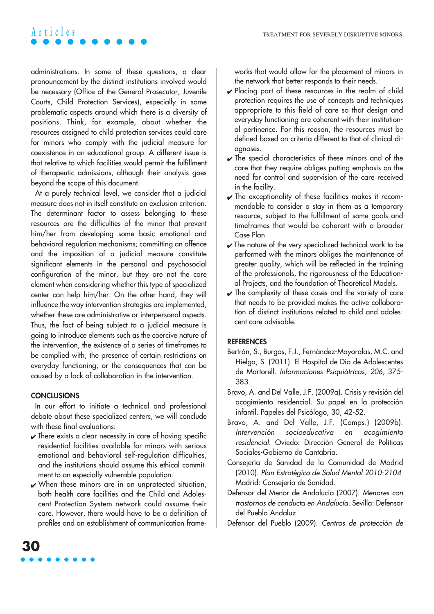administrations. In some of these questions, a clear pronouncement by the distinct institutions involved would be necessary (Office of the General Prosecutor, Juvenile Courts, Child Protection Services), especially in some problematic aspects around which there is a diversity of positions. Think, for example, about whether the resources assigned to child protection services could care for minors who comply with the judicial measure for coexistence in an educational group. A different issue is that relative to which facilities would permit the fulfillment of therapeutic admissions, although their analysis goes beyond the scope of this document.

At a purely technical level, we consider that a judicial measure does not in itself constitute an exclusion criterion. The determinant factor to assess belonging to these resources are the difficulties of the minor that prevent him/her from developing some basic emotional and behavioral regulation mechanisms; committing an offence and the imposition of a judicial measure constitute significant elements in the personal and psychosocial configuration of the minor, but they are not the core element when considering whether this type of specialized center can help him/her. On the other hand, they will influence the way intervention strategies are implemented, whether these are administrative or interpersonal aspects. Thus, the fact of being subject to a judicial measure is going to introduce elements such as the coercive nature of the intervention, the existence of a series of timeframes to be complied with, the presence of certain restrictions on everyday functioning, or the consequences that can be caused by a lack of collaboration in the intervention.

#### **CONCLUSIONS**

In our effort to initiate a technical and professional debate about these specialized centers, we will conclude with these final evaluations:

- $\triangleright$  There exists a clear necessity in care of having specific residential facilities available for minors with serious emotional and behavioral self-regulation difficulties, and the institutions should assume this ethical commitment to an especially vulnerable population.
- $\vee$  When these minors are in an unprotected situation, both health care facilities and the Child and Adolescent Protection System network could assume their care. However, there would have to be a definition of profiles and an establishment of communication frame-

works that would allow for the placement of minors in the network that better responds to their needs.

- $\vee$  Placing part of these resources in the realm of child protection requires the use of concepts and techniques appropriate to this field of care so that design and everyday functioning are coherent with their institutional pertinence. For this reason, the resources must be defined based on criteria different to that of clinical diagnoses.
- $\vee$  The special characteristics of these minors and of the care that they require obliges putting emphasis on the need for control and supervision of the care received in the facility.
- $\checkmark$  The exceptionality of these facilities makes it recommendable to consider a stay in them as a temporary resource, subject to the fulfillment of some goals and timeframes that would be coherent with a broader Case Plan.
- $\blacktriangleright$  The nature of the very specialized technical work to be performed with the minors obliges the maintenance of greater quality, which will be reflected in the training of the professionals, the rigorousness of the Educational Projects, and the foundation of Theoretical Models.
- $\sqrt{\ }$  The complexity of these cases and the variety of care that needs to be provided makes the active collaboration of distinct institutions related to child and adolescent care advisable.

#### **REFERENCES**

- Bertrán, S., Burgos, F.J., Fernández-Mayoralas, M.C. and Hielga, S. (2011). El Hospital de Día de Adolescentes de Martorell. Informaciones Psiquiátricas, 206, 375- 383.
- Bravo, A. and Del Valle, J.F. (2009a). Crisis y revisión del acogimiento residencial. Su papel en la protección infantil. Papeles del Psicólogo, 30, 42-52.
- Bravo, A. and Del Valle, J.F. (Comps.) (2009b). Intervención socioeducativa en acogimiento residencial. Oviedo: Dirección General de Políticas Sociales-Gobierno de Cantabria.
- Consejería de Sanidad de la Comunidad de Madrid (2010). Plan Estratégico de Salud Mental 2010-2104. Madrid: Consejería de Sanidad.
- Defensor del Menor de Andalucía (2007). Menores con trastornos de conducta en Andalucía. Sevilla: Defensor del Pueblo Andaluz.
- Defensor del Pueblo (2009). Centros de protección de